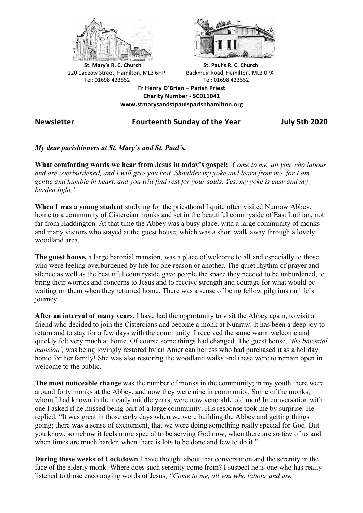



**St.** Mary's R. C. Church St. Paul's R. C. Church 120 Cadzow Street, Hamilton, ML3 6HP Backmuir Road, Hamilton, ML3 0PX Tel: 01698 423552 Tel: 01698 423552

**Fr Henry O'Brien – Parish Priest Charity Number - SC011041 www.stmarysandstpaulsparishhamilton.org**

## **Newsletter Fourteenth Sunday of the Year July 5th 2020**

*My dear parishioners at St. Mary's and St. Paul's,*

**What comforting words we hear from Jesus in today's gospel:** *'Come to me, all you who labour and are overburdened, and I will give you rest. Shoulder my yoke and learn from me, for I am gentle and humble in heart, and you will find rest for your souls. Yes, my yoke is easy and my burden light.'*

**When I was a young student** studying for the priesthood I quite often visited Nunraw Abbey, home to a community of Cistercian monks and set in the beautiful countryside of East Lothian, not far from Haddington. At that time the Abbey was a busy place, with a large community of monks and many visitors who stayed at the guest house, which was a short walk away through a lovely woodland area.

**The guest house,** a large baronial mansion, was a place of welcome to all and especially to those who were feeling overburdened by life for one reason or another. The quiet rhythm of prayer and silence as well as the beautiful countryside gave people the space they needed to be unburdened, to bring their worries and concerns to Jesus and to receive strength and courage for what would be waiting on them when they returned home. There was a sense of being fellow pilgrims on life's journey.

**After an interval of many years,** I have had the opportunity to visit the Abbey again, to visit a friend who decided to join the Cistercians and become a monk at Nunraw. It has been a deep joy to return and to stay for a few days with the community. I received the same warm welcome and quickly felt very much at home. Of course some things had changed. The guest house, *'the baronial mansion',* was being lovingly restored by an American heiress who had purchased it as a holiday home for her family! She was also restoring the woodland walks and these were to remain open in welcome to the public.

**The most noticeable change** was the number of monks in the community; in my youth there were around forty monks at the Abbey, and now they were nine in community. Some of the monks, whom I had known in their early middle years, were now venerable old men! In conversation with one I asked if he missed being part of a large community. His response took me by surprise. He replied, "It was great in those early days when we were building the Abbey and getting things going; there was a sense of excitement, that we were doing something really special for God. But you know, somehow it feels more special to be serving God now, when there are so few of us and when times are much harder, when there is lots to be done and few to do it."

**During these weeks of Lockdown** I have thought about that conversation and the serenity in the face of the elderly monk. Where does such serenity come from? I suspect he is one who has really listened to those encouraging words of Jesus, *"Come to me, all you who labour and are*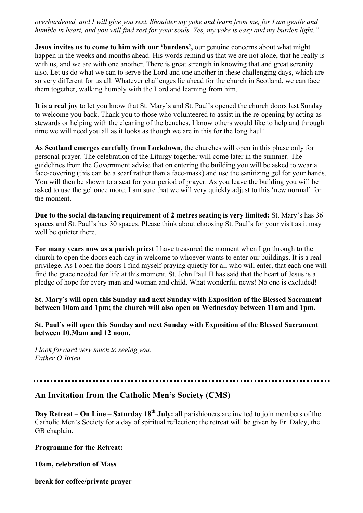*overburdened, and I will give you rest. Shoulder my yoke and learn from me, for I am gentle and humble in heart, and you will find rest for your souls. Yes, my yoke is easy and my burden light."*

**Jesus invites us to come to him with our 'burdens',** our genuine concerns about what might happen in the weeks and months ahead. His words remind us that we are not alone, that he really is with us, and we are with one another. There is great strength in knowing that and great serenity also. Let us do what we can to serve the Lord and one another in these challenging days, which are so very different for us all. Whatever challenges lie ahead for the church in Scotland, we can face them together, walking humbly with the Lord and learning from him.

**It is a real joy** to let you know that St. Mary's and St. Paul's opened the church doors last Sunday to welcome you back. Thank you to those who volunteered to assist in the re-opening by acting as stewards or helping with the cleaning of the benches. I know others would like to help and through time we will need you all as it looks as though we are in this for the long haul!

**As Scotland emerges carefully from Lockdown,** the churches will open in this phase only for personal prayer. The celebration of the Liturgy together will come later in the summer. The guidelines from the Government advise that on entering the building you will be asked to wear a face-covering (this can be a scarf rather than a face-mask) and use the sanitizing gel for your hands. You will then be shown to a seat for your period of prayer. As you leave the building you will be asked to use the gel once more. I am sure that we will very quickly adjust to this 'new normal' for the moment.

**Due to the social distancing requirement of 2 metres seating is very limited:** St. Mary's has 36 spaces and St. Paul's has 30 spaces. Please think about choosing St. Paul's for your visit as it may well be quieter there.

**For many years now as a parish priest** I have treasured the moment when I go through to the church to open the doors each day in welcome to whoever wants to enter our buildings. It is a real privilege. As I open the doors I find myself praying quietly for all who will enter, that each one will find the grace needed for life at this moment. St. John Paul II has said that the heart of Jesus is a pledge of hope for every man and woman and child. What wonderful news! No one is excluded!

**St. Mary's will open this Sunday and next Sunday with Exposition of the Blessed Sacrament between 10am and 1pm; the church will also open on Wednesday between 11am and 1pm.**

**St. Paul's will open this Sunday and next Sunday with Exposition of the Blessed Sacrament between 10.30am and 12 noon.**

*I look forward very much to seeing you. Father O'Brien*

## **An Invitation from the Catholic Men's Society (CMS)**

**Day Retreat – On Line – Saturday 18th July:** all parishioners are invited to join members of the Catholic Men's Society for a day of spiritual reflection; the retreat will be given by Fr. Daley, the GB chaplain.

## **Programme for the Retreat:**

**10am, celebration of Mass**

**break for coffee/private prayer**